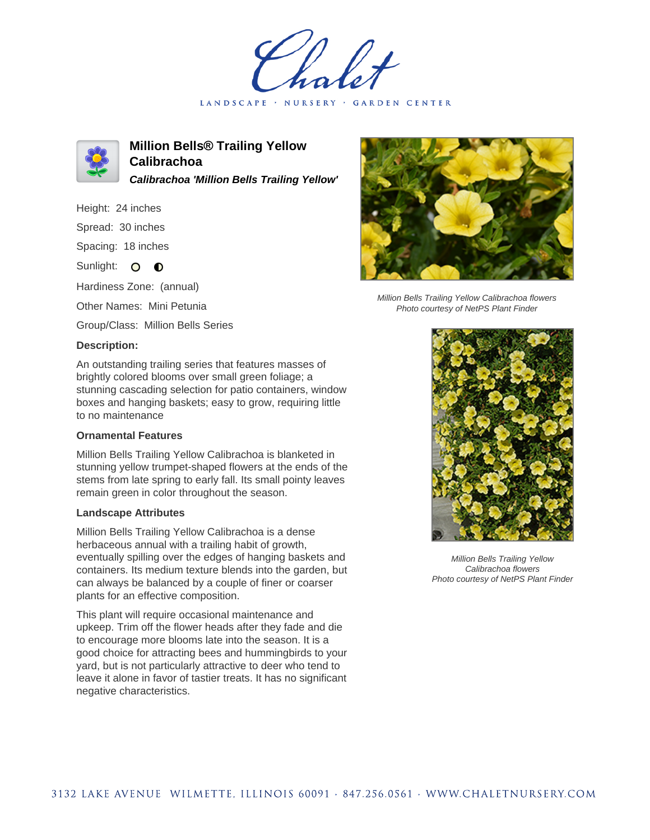LANDSCAPE · NURSERY · GARDEN CENTER



**Million Bells® Trailing Yellow Calibrachoa Calibrachoa 'Million Bells Trailing Yellow'**

Height: 24 inches Spread: 30 inches

Spacing: 18 inches

Sunlight: O **O** 

Hardiness Zone: (annual)

Other Names: Mini Petunia

Group/Class: Million Bells Series

## **Description:**

An outstanding trailing series that features masses of brightly colored blooms over small green foliage; a stunning cascading selection for patio containers, window boxes and hanging baskets; easy to grow, requiring little to no maintenance

## **Ornamental Features**

Million Bells Trailing Yellow Calibrachoa is blanketed in stunning yellow trumpet-shaped flowers at the ends of the stems from late spring to early fall. Its small pointy leaves remain green in color throughout the season.

## **Landscape Attributes**

Million Bells Trailing Yellow Calibrachoa is a dense herbaceous annual with a trailing habit of growth, eventually spilling over the edges of hanging baskets and containers. Its medium texture blends into the garden, but can always be balanced by a couple of finer or coarser plants for an effective composition.

This plant will require occasional maintenance and upkeep. Trim off the flower heads after they fade and die to encourage more blooms late into the season. It is a good choice for attracting bees and hummingbirds to your yard, but is not particularly attractive to deer who tend to leave it alone in favor of tastier treats. It has no significant negative characteristics.



Million Bells Trailing Yellow Calibrachoa flowers Photo courtesy of NetPS Plant Finder



Million Bells Trailing Yellow Calibrachoa flowers Photo courtesy of NetPS Plant Finder